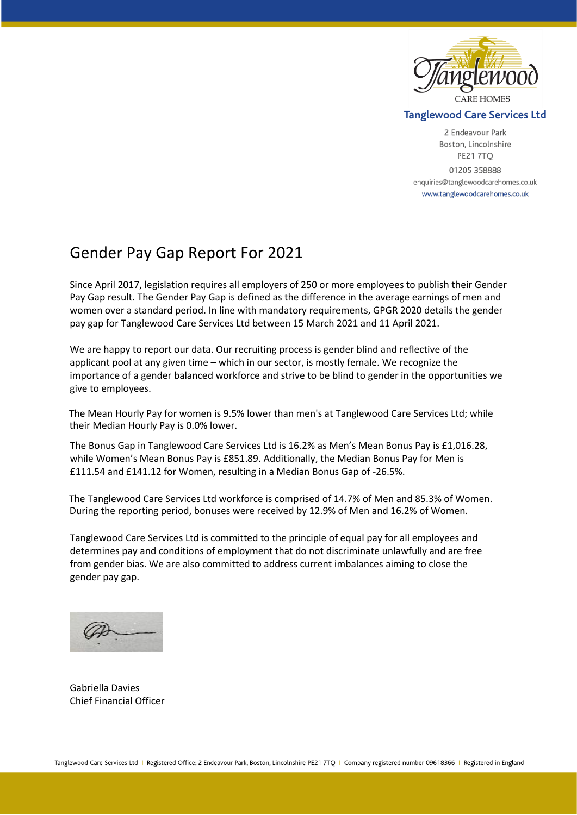

## **Tanglewood Care Services Ltd**

2 Endeavour Park Boston, Lincolnshire **PE217TO** 01205 358888 enquiries@tanglewoodcarehomes.co.uk www.tanglewoodcarehomes.co.uk

## Gender Pay Gap Report For 2021

Since April 2017, legislation requires all employers of 250 or more employees to publish their Gender Pay Gap result. The Gender Pay Gap is defined as the difference in the average earnings of men and women over a standard period. In line with mandatory requirements, GPGR 2020 details the gender pay gap for Tanglewood Care Services Ltd between 15 March 2021 and 11 April 2021.

We are happy to report our data. Our recruiting process is gender blind and reflective of the applicant pool at any given time – which in our sector, is mostly female. We recognize the importance of a gender balanced workforce and strive to be blind to gender in the opportunities we give to employees.

The Mean Hourly Pay for women is 9.5% lower than men's at Tanglewood Care Services Ltd; while their Median Hourly Pay is 0.0% lower.

The Bonus Gap in Tanglewood Care Services Ltd is 16.2% as Men's Mean Bonus Pay is £1,016.28, while Women's Mean Bonus Pay is £851.89. Additionally, the Median Bonus Pay for Men is £111.54 and £141.12 for Women, resulting in a Median Bonus Gap of -26.5%.

The Tanglewood Care Services Ltd workforce is comprised of 14.7% of Men and 85.3% of Women. During the reporting period, bonuses were received by 12.9% of Men and 16.2% of Women.

Tanglewood Care Services Ltd is committed to the principle of equal pay for all employees and determines pay and conditions of employment that do not discriminate unlawfully and are free from gender bias. We are also committed to address current imbalances aiming to close the gender pay gap.

Gabriella Davies Chief Financial Officer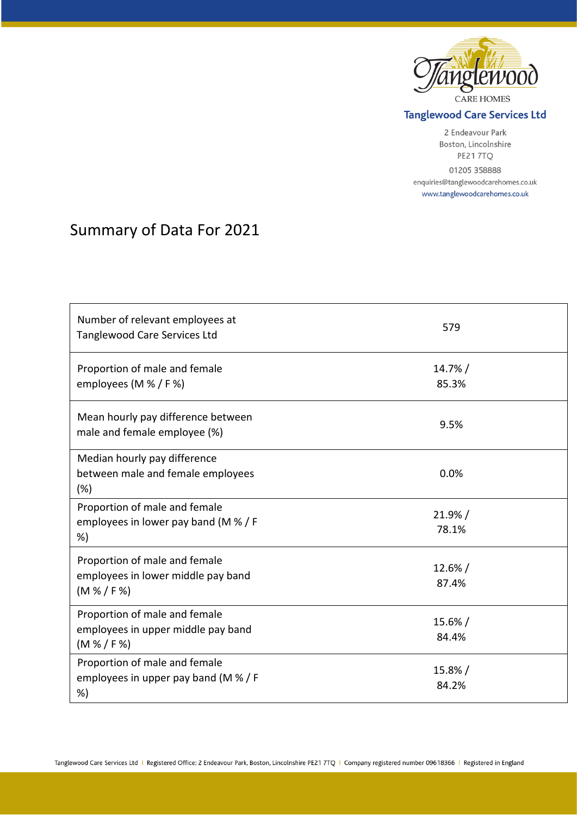

## **Tanglewood Care Services Ltd**

2 Endeavour Park Boston, Lincolnshire PE217TQ 01205 358888 enquiries@tanglewoodcarehomes.co.uk www.tanglewoodcarehomes.co.uk

## Summary of Data For 2021

| Number of relevant employees at<br><b>Tanglewood Care Services Ltd</b>             | 579                 |
|------------------------------------------------------------------------------------|---------------------|
| Proportion of male and female<br>employees (M % / F %)                             | $14.7\%$ /<br>85.3% |
| Mean hourly pay difference between<br>male and female employee (%)                 | 9.5%                |
| Median hourly pay difference<br>between male and female employees<br>(%)           | 0.0%                |
| Proportion of male and female<br>employees in lower pay band (M % / F<br>%)        | 21.9% /<br>78.1%    |
| Proportion of male and female<br>employees in lower middle pay band<br>(M % / F %) | $12.6\% /$<br>87.4% |
| Proportion of male and female<br>employees in upper middle pay band<br>(M % / F %) | $15.6\% /$<br>84.4% |
| Proportion of male and female<br>employees in upper pay band (M % / F<br>%)        | 15.8%/<br>84.2%     |

Tanglewood Care Services Ltd | Registered Office: 2 Endeavour Park, Boston, Lincolnshire PE21 7TQ | Company registered number 09618366 | Registered in England